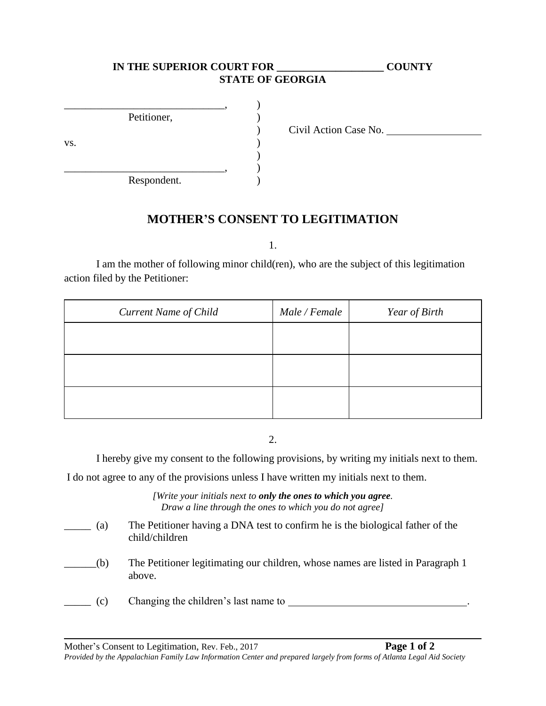## **IN THE SUPERIOR COURT FOR \_\_\_\_\_\_\_\_\_\_\_\_\_\_\_\_\_\_\_\_ COUNTY STATE OF GEORGIA**

|     | Petitioner, |  |
|-----|-------------|--|
|     |             |  |
| VS. |             |  |
|     |             |  |
|     |             |  |
|     | Respondent. |  |

) Civil Action Case No.

## **MOTHER'S CONSENT TO LEGITIMATION**

1.

I am the mother of following minor child(ren), who are the subject of this legitimation action filed by the Petitioner:

| <b>Current Name of Child</b> | Male / Female | Year of Birth |
|------------------------------|---------------|---------------|
|                              |               |               |
|                              |               |               |
|                              |               |               |
|                              |               |               |

2.

I hereby give my consent to the following provisions, by writing my initials next to them.

I do not agree to any of the provisions unless I have written my initials next to them.

*[Write your initials next to only the ones to which you agree. Draw a line through the ones to which you do not agree]*

| (a) | The Petitioner having a DNA test to confirm he is the biological father of the<br>child/children |
|-----|--------------------------------------------------------------------------------------------------|
| (b) | The Petitioner legitimating our children, whose names are listed in Paragraph 1                  |

- above.
- \_\_\_\_\_ (c) Changing the children's last name to .